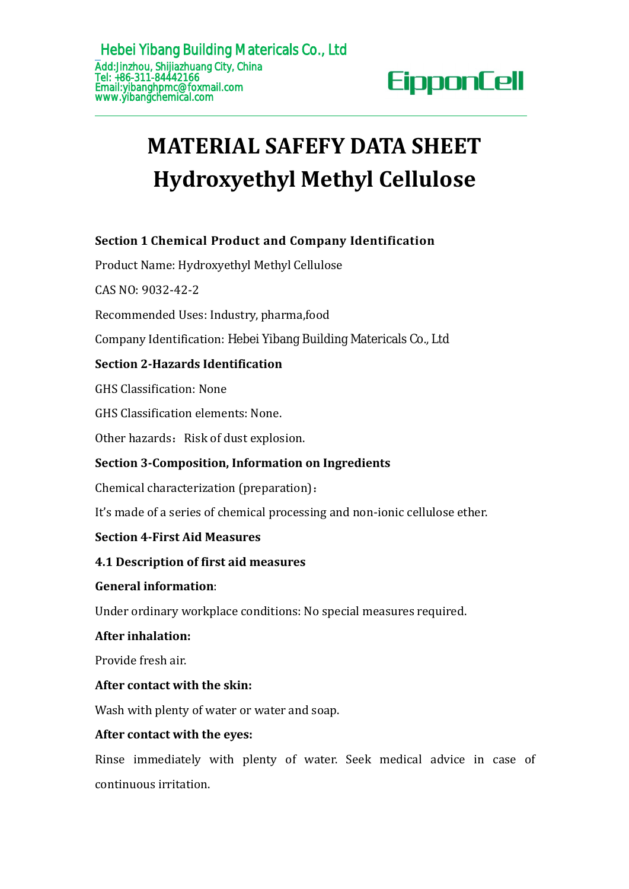# **MATERIAL SAFEFY DATA SHEET Hydroxyethyl Methyl Cellulose EducationShip Sullang Matericals Co., Ltd**<br>
Tel: +86-311-8442166<br>
Enail:ylbanghpmc@foxmall.com<br> **MATERIAL SAFEFY DATA SHEET**<br> **Hydroxyethyl Methyl Cellulose**<br>
Section 1 Chemical Product and Company Identification<br>
Produc **MATERIAL SAFEFY DATA SHEI**<br>**Hydroxyethyl Methyl Cellulos**<br>Section 1 Chemical Product and Company Identification<br>Product Name: Hydroxyethyl Methyl Cellulose<br>CAS NO: 9032-42-2<br>Recommended Uses: Industry, pharma,food<br>Company FINDITIES COLLECT THE SERVICE OF THE SERVICE OF THE SERIOR Section 1 Chemical Product and Compa<br>
Product Name: Hydroxyethyl Methyl Cellulo<br>
CAS NO: 9032-42-2<br>
Recommended Uses: Industry, pharma,food<br>
Company Identification **Hydroxyethyl Methyl Cellu**<br> **Section 1 Chemical Product and Company Identificatio**<br>
Product Name: Hydroxyethyl Methyl Cellulose<br>
CAS NO: 9032-42-2<br>
Recommended Uses: Industry, pharma,food<br>
Company Identification: Hebei Yi

# **FIYAFOXYELITYI IVIELITYI CEITUIOS**<br>Section 1 Chemical Product and Company Identification<br>Product Name: Hydroxyethyl Methyl Cellulose<br>CAS NO: 9032-42-2<br>Recommended Uses: Industry, pharma,food<br>Company Identification: Hebei Section 1 Chemical Product and Company Identification<br>Product Name: Hydroxyethyl Methyl Cellulose<br>CAS NO: 9032-42-2<br>Recommended Uses: Industry, pharma,food<br>Company Identification: Hebei Yibang Building Matericals Co., Ltd<br>

Product Name: Hydroxyethyl Methyl Cellulose<br>CAS NO: 9032-42-2<br>Recommended Uses: Industry, pharma,food<br>Company Identification: Hebei Yibang Building Ma<br>**Section 2-Hazards Identification**<br>GHS Classification: None<br>GHS Classif CAS NO: 9032-42-2<br>Recommended Uses: Industry, pharma,food<br>Company Identification: Hebei Yibang Building Matericals C<br>**Section 2-Hazards Identification**<br>GHS Classification: None<br>GHS Classification elements: None.<br>Other haza Recommended Uses: Industry, pharma,food<br>
Company Identification: Hebei Yibang Building Matericals C<br> **Section 2-Hazards Identification**<br>
GHS Classification: None<br>
GHS Classification elements: None.<br>
Other hazards: Risk of

# **Section 2-Hazards Identification**<br>
GHS Classification: None<br>
GHS Classification elements: None.<br>
Other hazards: Risk of dust explosion.<br> **Section 3-Composition, Information on Ingredie**<br>
Chemical characterization (prepara GHS Classification elements: None.<br>
Other hazards: Risk of dust explosion.<br> **Section 3-Composition, Information c**<br>
Chemical characterization (preparation)<br>
It's made of a series of chemical process<br> **Section 4-First Aid M Section 3-Composition, Informatio**<br>Chemical characterization (preparati<br>It's made of a series of chemical proc<br>**Section 4-First Aid Measures**<br>**4.1 Description of first aid measur<br>General information:**<br>Under ordinary workp

CAS NO: 9032-42-2<br>
Recommended Uses: Industry, pharma,food<br>
Company Identification: Hebei Yibang Building Matericals Co., Ltd<br> **Section 2-Hazards Identification**<br>
GHS Classification: None<br>
GHS Classification: None<br>
Other h Section 2-Hazards Identification<br>GHS Classification: None<br>GHS Classification elements: None.<br>Other hazards: Risk of dust explosion.<br>Section 3-Composition, Information on Ingredients<br>Chemical characterization (preparation): GHS Classification: None<br>
GHS Classification elements: None.<br>
Other hazards: Risk of dust explosion.<br> **Section 3-Composition, Information on Ingredients**<br>
Chemical characterization (preparation):<br>
It's made of a series o GHS Classification: None<br>
GHS Classification elements: None.<br>
Other hazards: Risk of dust explosion.<br> **Section 3-Composition, Information on Ingredients**<br>
Chemical characterization (preparation):<br>
It's made of a series o Chemical characterization (preparation):<br>It's made of a series of chemical processing and non-ionic cellulose ether.<br>**Section 4-First Aid Measures**<br>**4.1 Description of first aid measures<br>General information:**<br>Under ordinar It's made of a series of chemical processing and non-ion<br> **Section 4-First Aid Measures**<br> **4.1 Description of first aid measures**<br> **4.1 Description of first aid measures**<br> **Ceneral information:**<br>
Under ordinary workplace c

Section 4-First Aid Measures<br>4.1 Description of first aid measures<br>General information:<br>Under ordinary workplace conditions: No spe<br>After inhalation:<br>Provide fresh air.<br>After contact with the skin:<br>Wash with plenty of wate General information:<br>
Under ordinary workplace conditions: No special measures required.<br>
After inhalation:<br>
Provide fresh air.<br>
Mash with plenty of water or water and soap.<br>
After contact with the eyes:<br>
Rinse immediately **4.1 Description of first aid measures**<br> **General information:**<br>
Under ordinary workplace conditions: No special meas<br> **After inhalation:**<br>
Provide fresh air.<br> **After contact with the skin:**<br>
Wash with plenty of water or w After inhalation:<br>Provide fresh air.<br>After contact with the skin:<br>Wash with plenty of water or water and soap.<br>After contact with the eyes:<br>Rinse immediately with plenty of water. Seek medical advice in case of<br>continuous Provide fresh air.<br> **After contact with the skin:**<br>
Wash with plenty of water or water and so.<br> **After contact with the eyes:**<br>
Rinse immediately with plenty of wat<br>
continuous irritation.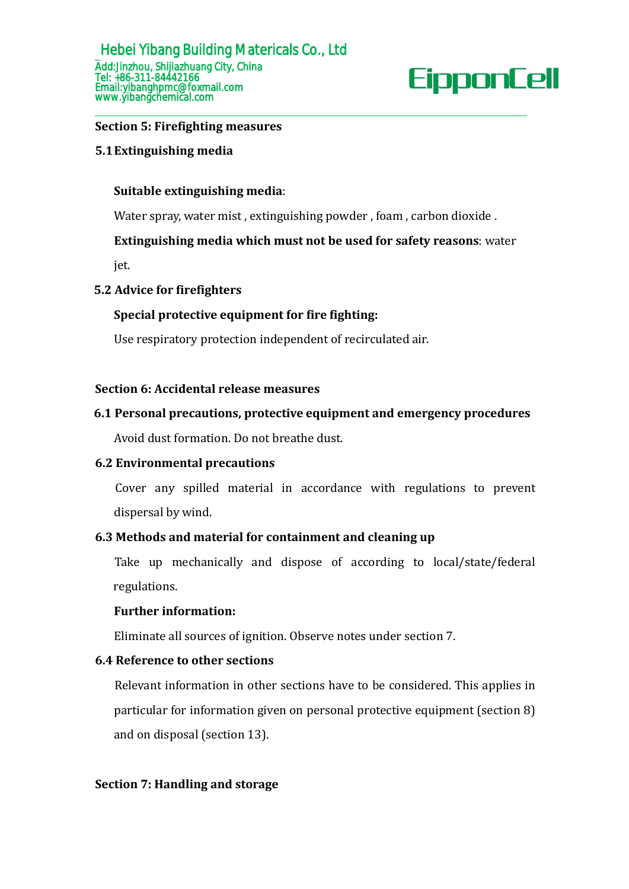### **Suitable extinguishing media**:

Water spray, water mist , extinguishing powder , foam , carbon dioxide .

### **Extinguishing media which must not be used for safety reasons**: water

jet.

### **5.2 Advice for firefighters**

### **Special protective equipment for fire fighting:**

Use respiratory protection independent of recirculated air.

### **Section 6: Accidental release measures**

### **6.1 Personal precautions, protective equipment and emergency procedures**

Avoid dust formation. Do not breathe dust.

### **6.2 Environmental precautions**

Cover any spilled material in accordance with regulations to prevent dispersal by wind.

### **6.3 Methods and material for containment and cleaning up**

Take up mechanically and dispose of according to local/state/federal regulations.

### **Further information:**

Eliminate all sources of ignition. Observe notes under section 7.

### **6.4 Reference to other sections**

Relevant information in other sections have to be considered. This applies in particular for information given on personal protective equipment (section 8) and on disposal (section 13).

### **Section 7: Handling and storage**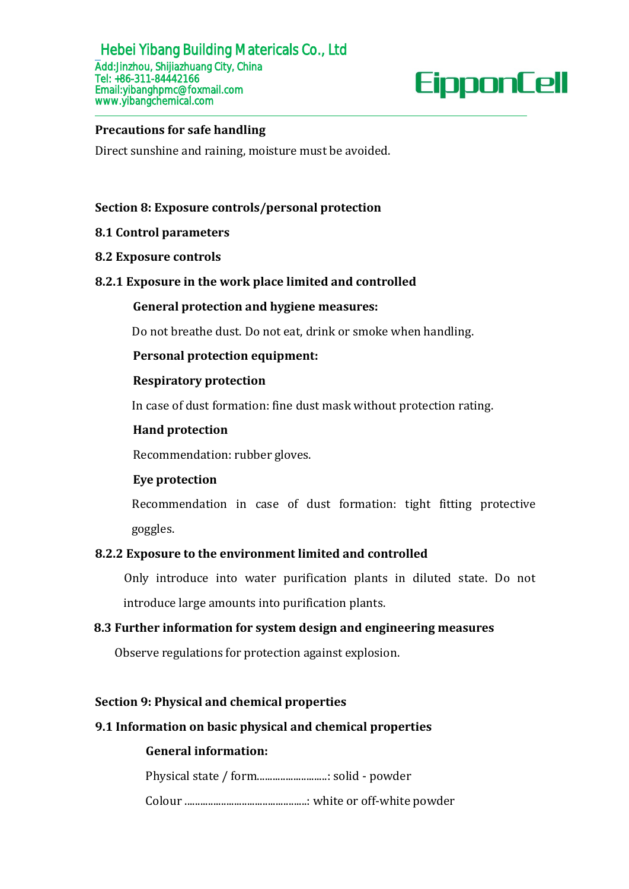# **Section 8: Exposure controls/personal protection**

# **8.1 Control parameters**

### **8.2 Exposure controls**

# **8.2.1 Exposure in the work place limited and controlled**

### **General protection and hygiene measures:**

Do not breathe dust. Do not eat, drink or smoke when handling.

# **Personal protection equipment:**

### **Respiratory protection**

In case of dust formation: fine dust mask without protection rating.

### **Hand protection**

Recommendation: rubber gloves.

# **Eye protection**

Recommendation in case of dust formation: tight fitting protective goggles.

# **8.2.2 Exposure to the environment limited and controlled**

Only introduce into water purification plants in diluted state. Do not introduce large amounts into purification plants.

# **8.3 Further information for system design and engineering measures**

Observe regulations for protection against explosion.

### **Section 9: Physical and chemical properties**

# **9.1 Information on basicphysical and chemical properties**

# **General information:**

Physical state / form...........................: solid - powder

Colour ...............................................: white or off-white powder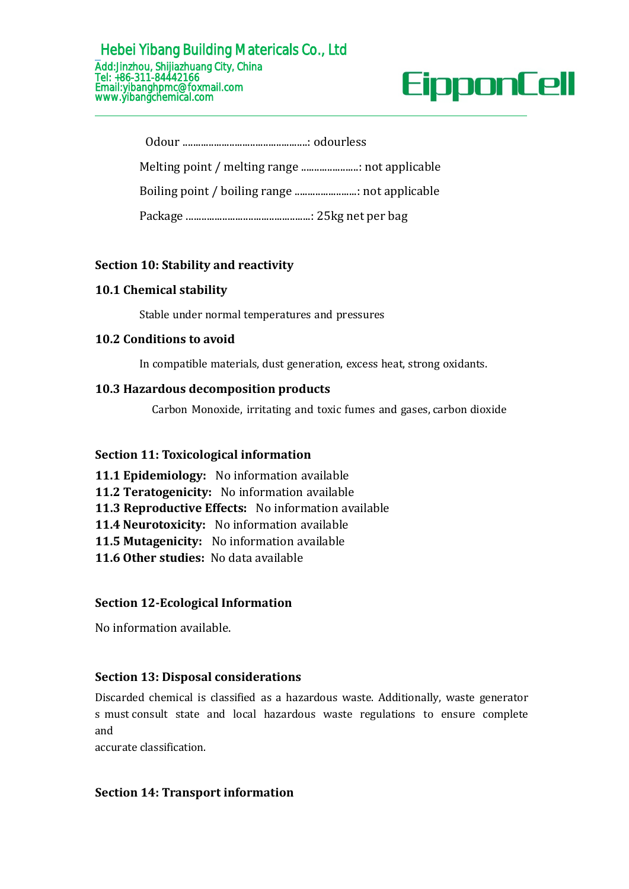### Hebei Yibang Building Matericals Co., Ltd Add:Jinzhou, Shijiazhuang City, China Tel: +86-311-84442166 Email:yibanghpmc@foxmail.com [www.yibangchemical.com](http://www.kimacellulose.com)

# **Section 10: Stability and reactivity**

### **10.1 Chemical stability**

Stable under normal temperatures and pressures

# **10.2 Conditions to avoid**

In compatible materials, dust generation, excess heat, strong oxidants.

### **10.3 Hazardous decomposition products**

Carbon Monoxide, irritating and toxic fumes and gases, carbon dioxide

# **Section 11: Toxicological information**

**11.1 Epidemiology:** No information available **11.2 Teratogenicity:** No information available **11.3 Reproductive Effects:** No information available **11.4 Neurotoxicity:** No information available **11.5 Mutagenicity:** No information available **11.6 Other studies:** No data available

# **Section 12-Ecological Information**

No information available.

# **Section 13: Disposal considerations**

Discarded chemical is classified as a hazardous waste. Additionally, waste generator s must consult state and local hazardous waste regulations to ensure complete and

accurate classification.

# **Section 14: Transport information**